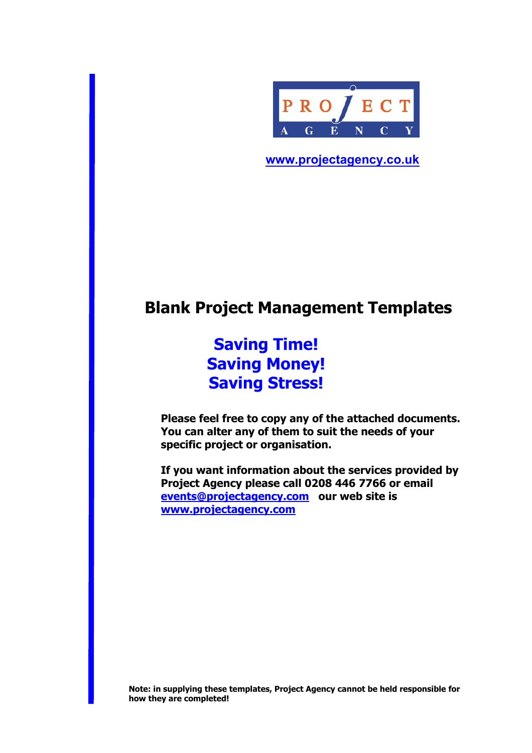

**www.projectagency.co.uk** 

# **Blank Project Management Templates**

**Saving Time! Saving Money! Saving Stress!** 

**Please feel free to copy any of the attached documents. You can alter any of them to suit the needs of your specific project or organisation.** 

**If you want information about the services provided by Project Agency please call 0208 446 7766 or email events@projectagency.com our web site is www.projectagency.com** 

**Note: in supplying these templates, Project Agency cannot be held responsible for how they are completed!**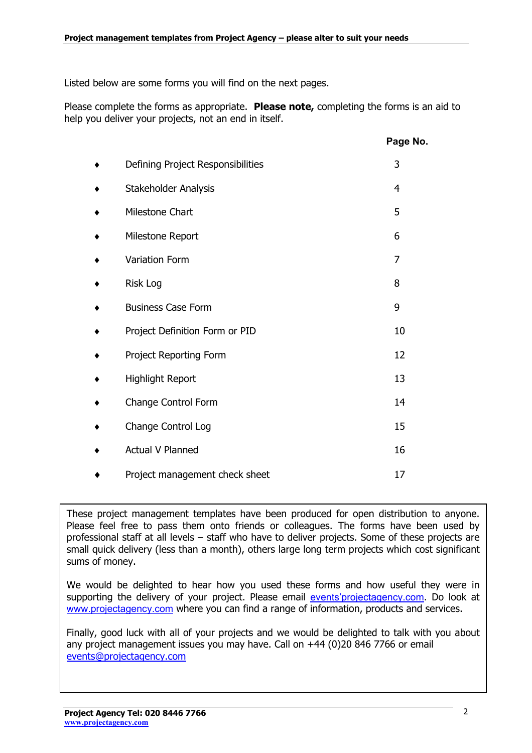Listed below are some forms you will find on the next pages.

Please complete the forms as appropriate. **Please note,** completing the forms is an aid to help you deliver your projects, not an end in itself.

|                                   | Page No.       |
|-----------------------------------|----------------|
| Defining Project Responsibilities | 3              |
| Stakeholder Analysis              | $\overline{4}$ |
| Milestone Chart                   | 5              |
| Milestone Report                  | 6              |
| Variation Form                    | $\overline{7}$ |
| <b>Risk Log</b>                   | 8              |
| <b>Business Case Form</b>         | 9              |
| Project Definition Form or PID    | 10             |
| Project Reporting Form            | 12             |
| Highlight Report                  | 13             |
| Change Control Form               | 14             |
| Change Control Log                | 15             |
| <b>Actual V Planned</b>           | 16             |
| Project management check sheet    | 17             |

These project management templates have been produced for open distribution to anyone. Please feel free to pass them onto friends or colleagues. The forms have been used by professional staff at all levels – staff who have to deliver projects. Some of these projects are small quick delivery (less than a month), others large long term projects which cost significant sums of money.

We would be delighted to hear how you used these forms and how useful they were in supporting the delivery of your project. Please email events' projectagency.com. Do look at www.projectagency.com where you can find a range of information, products and services.

Finally, good luck with all of your projects and we would be delighted to talk with you about any project management issues you may have. Call on +44 (0)20 846 7766 or email events@projectagency.com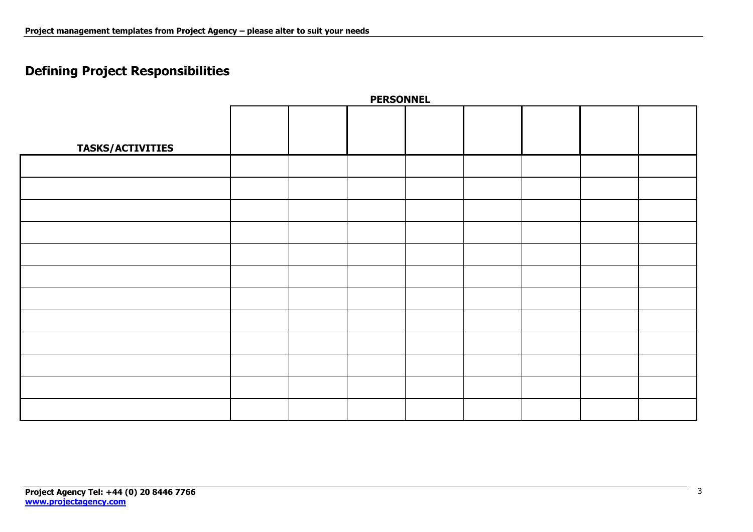## **Defining Project Responsibilities**

| <b>PERSONNEL</b>        |  |  |  |  |  |  |  |  |  |
|-------------------------|--|--|--|--|--|--|--|--|--|
|                         |  |  |  |  |  |  |  |  |  |
| <b>TASKS/ACTIVITIES</b> |  |  |  |  |  |  |  |  |  |
|                         |  |  |  |  |  |  |  |  |  |
|                         |  |  |  |  |  |  |  |  |  |
|                         |  |  |  |  |  |  |  |  |  |
|                         |  |  |  |  |  |  |  |  |  |
|                         |  |  |  |  |  |  |  |  |  |
|                         |  |  |  |  |  |  |  |  |  |
|                         |  |  |  |  |  |  |  |  |  |
|                         |  |  |  |  |  |  |  |  |  |
|                         |  |  |  |  |  |  |  |  |  |
|                         |  |  |  |  |  |  |  |  |  |
|                         |  |  |  |  |  |  |  |  |  |
|                         |  |  |  |  |  |  |  |  |  |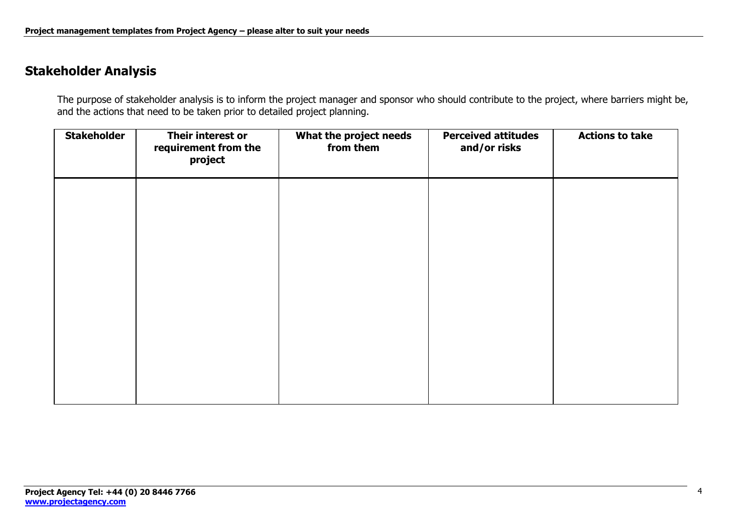## **Stakeholder Analysis**

The purpose of stakeholder analysis is to inform the project manager and sponsor who should contribute to the project, where barriers might be, and the actions that need to be taken prior to detailed project planning.

| <b>Stakeholder</b> | Their interest or<br>requirement from the<br>project | What the project needs<br>from them | <b>Perceived attitudes</b><br>and/or risks | <b>Actions to take</b> |
|--------------------|------------------------------------------------------|-------------------------------------|--------------------------------------------|------------------------|
|                    |                                                      |                                     |                                            |                        |
|                    |                                                      |                                     |                                            |                        |
|                    |                                                      |                                     |                                            |                        |
|                    |                                                      |                                     |                                            |                        |
|                    |                                                      |                                     |                                            |                        |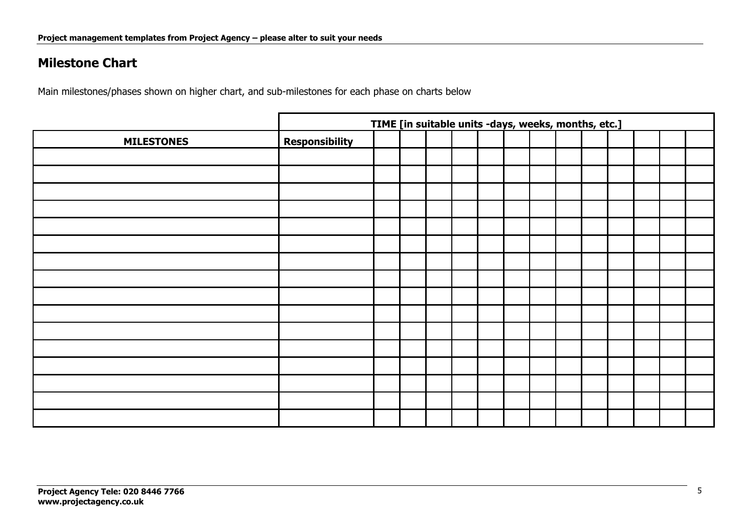## **Milestone Chart**

Main milestones/phases shown on higher chart, and sub-milestones for each phase on charts below

|                   | TIME [in suitable units -days, weeks, months, etc.] |  |  |  |  |  |  |  |  |  |  |
|-------------------|-----------------------------------------------------|--|--|--|--|--|--|--|--|--|--|
| <b>MILESTONES</b> | <b>Responsibility</b>                               |  |  |  |  |  |  |  |  |  |  |
|                   |                                                     |  |  |  |  |  |  |  |  |  |  |
|                   |                                                     |  |  |  |  |  |  |  |  |  |  |
|                   |                                                     |  |  |  |  |  |  |  |  |  |  |
|                   |                                                     |  |  |  |  |  |  |  |  |  |  |
|                   |                                                     |  |  |  |  |  |  |  |  |  |  |
|                   |                                                     |  |  |  |  |  |  |  |  |  |  |
|                   |                                                     |  |  |  |  |  |  |  |  |  |  |
|                   |                                                     |  |  |  |  |  |  |  |  |  |  |
|                   |                                                     |  |  |  |  |  |  |  |  |  |  |
|                   |                                                     |  |  |  |  |  |  |  |  |  |  |
|                   |                                                     |  |  |  |  |  |  |  |  |  |  |
|                   |                                                     |  |  |  |  |  |  |  |  |  |  |
|                   |                                                     |  |  |  |  |  |  |  |  |  |  |
|                   |                                                     |  |  |  |  |  |  |  |  |  |  |
|                   |                                                     |  |  |  |  |  |  |  |  |  |  |
|                   |                                                     |  |  |  |  |  |  |  |  |  |  |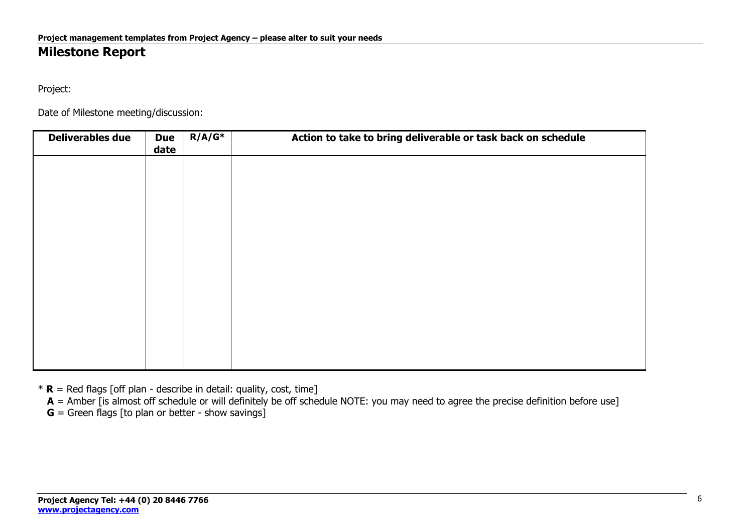## **Milestone Report**

Project:

Date of Milestone meeting/discussion:

| <b>Deliverables due</b> | <b>Due</b><br>date | $R/A/G^*$ | Action to take to bring deliverable or task back on schedule |
|-------------------------|--------------------|-----------|--------------------------------------------------------------|
|                         |                    |           |                                                              |
|                         |                    |           |                                                              |
|                         |                    |           |                                                              |
|                         |                    |           |                                                              |
|                         |                    |           |                                                              |
|                         |                    |           |                                                              |
|                         |                    |           |                                                              |
|                         |                    |           |                                                              |
|                         |                    |           |                                                              |

 $*$  **R** = Red flags [off plan - describe in detail: quality, cost, time]

**A** = Amber [is almost off schedule or will definitely be off schedule NOTE: you may need to agree the precise definition before use]

 $G =$  Green flags [to plan or better - show savings]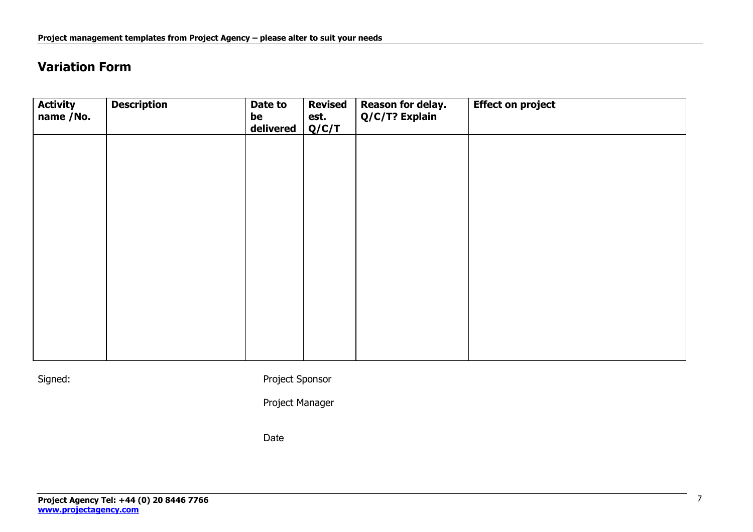## **Variation Form**

| <b>Activity</b><br>name /No. | <b>Description</b> | Date to<br>be<br>delivered | <b>Revised</b><br>est.<br>Q/C/T | Reason for delay.<br>Q/C/T? Explain | <b>Effect on project</b> |
|------------------------------|--------------------|----------------------------|---------------------------------|-------------------------------------|--------------------------|
|                              |                    |                            |                                 |                                     |                          |
|                              |                    |                            |                                 |                                     |                          |
|                              |                    |                            |                                 |                                     |                          |
|                              |                    |                            |                                 |                                     |                          |
|                              |                    |                            |                                 |                                     |                          |
|                              |                    |                            |                                 |                                     |                          |

Signed: Signed: Project Sponsor

Project Manager

Date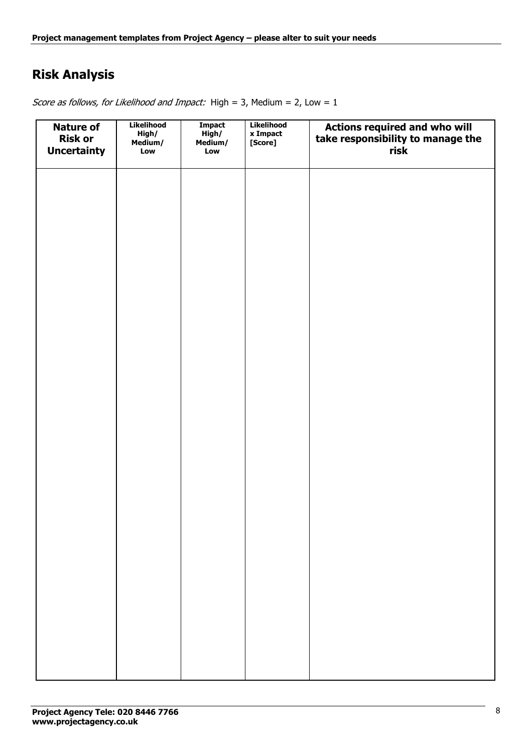## **Risk Analysis**

Score as follows, for Likelihood and Impact: High = 3, Medium =  $2$ , Low =  $1$ 

| <b>Nature of</b><br><b>Risk or</b><br><b>Uncertainty</b> | <b>Likelihood</b><br>High/<br>Medium/<br>Low | <b>Impact</b><br>High/<br>Medium/<br>Low | Likelihood<br>x Impact<br>[Score] | Actions required and who will<br>take responsibility to manage the<br>risk |
|----------------------------------------------------------|----------------------------------------------|------------------------------------------|-----------------------------------|----------------------------------------------------------------------------|
|                                                          |                                              |                                          |                                   |                                                                            |
|                                                          |                                              |                                          |                                   |                                                                            |
|                                                          |                                              |                                          |                                   |                                                                            |
|                                                          |                                              |                                          |                                   |                                                                            |
|                                                          |                                              |                                          |                                   |                                                                            |
|                                                          |                                              |                                          |                                   |                                                                            |
|                                                          |                                              |                                          |                                   |                                                                            |
|                                                          |                                              |                                          |                                   |                                                                            |
|                                                          |                                              |                                          |                                   |                                                                            |
|                                                          |                                              |                                          |                                   |                                                                            |
|                                                          |                                              |                                          |                                   |                                                                            |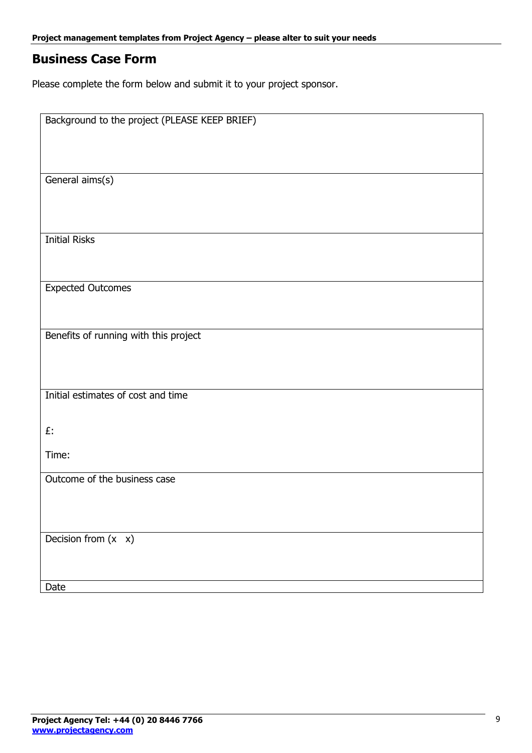## **Business Case Form**

Please complete the form below and submit it to your project sponsor.

| Background to the project (PLEASE KEEP BRIEF) |
|-----------------------------------------------|
|                                               |
|                                               |
|                                               |
|                                               |
|                                               |
| General aims(s)                               |
|                                               |
|                                               |
|                                               |
|                                               |
|                                               |
|                                               |
| <b>Initial Risks</b>                          |
|                                               |
|                                               |
|                                               |
|                                               |
| <b>Expected Outcomes</b>                      |
|                                               |
|                                               |
|                                               |
|                                               |
| Benefits of running with this project         |
|                                               |
|                                               |
|                                               |
|                                               |
|                                               |
| Initial estimates of cost and time            |
|                                               |
|                                               |
|                                               |
| £.                                            |
|                                               |
| Time:                                         |
|                                               |
|                                               |
| Outcome of the business case                  |
|                                               |
|                                               |
|                                               |
|                                               |
|                                               |
| Decision from $(x \ x)$                       |
|                                               |
|                                               |
|                                               |
|                                               |
|                                               |
| Date                                          |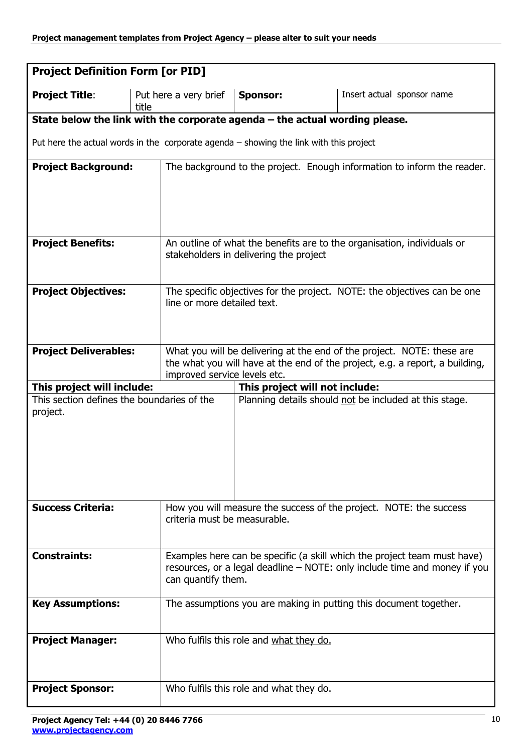| <b>Project Definition Form [or PID]</b>                                                |       |                                                                                                              |                                         |                                                                          |  |  |  |  |
|----------------------------------------------------------------------------------------|-------|--------------------------------------------------------------------------------------------------------------|-----------------------------------------|--------------------------------------------------------------------------|--|--|--|--|
| <b>Project Title:</b>                                                                  | title | Put here a very brief                                                                                        | <b>Sponsor:</b>                         | Insert actual sponsor name                                               |  |  |  |  |
| State below the link with the corporate agenda $-$ the actual wording please.          |       |                                                                                                              |                                         |                                                                          |  |  |  |  |
| Put here the actual words in the corporate agenda - showing the link with this project |       |                                                                                                              |                                         |                                                                          |  |  |  |  |
| <b>Project Background:</b>                                                             |       |                                                                                                              |                                         | The background to the project. Enough information to inform the reader.  |  |  |  |  |
|                                                                                        |       |                                                                                                              |                                         |                                                                          |  |  |  |  |
|                                                                                        |       |                                                                                                              |                                         |                                                                          |  |  |  |  |
| <b>Project Benefits:</b>                                                               |       |                                                                                                              | stakeholders in delivering the project  | An outline of what the benefits are to the organisation, individuals or  |  |  |  |  |
|                                                                                        |       |                                                                                                              |                                         |                                                                          |  |  |  |  |
| <b>Project Objectives:</b>                                                             |       |                                                                                                              |                                         | The specific objectives for the project. NOTE: the objectives can be one |  |  |  |  |
|                                                                                        |       | line or more detailed text.                                                                                  |                                         |                                                                          |  |  |  |  |
|                                                                                        |       |                                                                                                              |                                         |                                                                          |  |  |  |  |
| <b>Project Deliverables:</b>                                                           |       | What you will be delivering at the end of the project. NOTE: these are                                       |                                         |                                                                          |  |  |  |  |
|                                                                                        |       | the what you will have at the end of the project, e.g. a report, a building,<br>improved service levels etc. |                                         |                                                                          |  |  |  |  |
| This project will include:                                                             |       | This project will not include:                                                                               |                                         |                                                                          |  |  |  |  |
| This section defines the boundaries of the                                             |       |                                                                                                              |                                         | Planning details should not be included at this stage.                   |  |  |  |  |
| project.                                                                               |       |                                                                                                              |                                         |                                                                          |  |  |  |  |
|                                                                                        |       |                                                                                                              |                                         |                                                                          |  |  |  |  |
|                                                                                        |       |                                                                                                              |                                         |                                                                          |  |  |  |  |
|                                                                                        |       |                                                                                                              |                                         |                                                                          |  |  |  |  |
|                                                                                        |       |                                                                                                              |                                         |                                                                          |  |  |  |  |
| <b>Success Criteria:</b>                                                               |       | criteria must be measurable.                                                                                 |                                         | How you will measure the success of the project. NOTE: the success       |  |  |  |  |
|                                                                                        |       |                                                                                                              |                                         |                                                                          |  |  |  |  |
| <b>Constraints:</b>                                                                    |       |                                                                                                              |                                         | Examples here can be specific (a skill which the project team must have) |  |  |  |  |
|                                                                                        |       | resources, or a legal deadline – NOTE: only include time and money if you                                    |                                         |                                                                          |  |  |  |  |
| can quantify them.                                                                     |       |                                                                                                              |                                         |                                                                          |  |  |  |  |
| <b>Key Assumptions:</b>                                                                |       |                                                                                                              |                                         | The assumptions you are making in putting this document together.        |  |  |  |  |
|                                                                                        |       |                                                                                                              |                                         |                                                                          |  |  |  |  |
| <b>Project Manager:</b>                                                                |       |                                                                                                              | Who fulfils this role and what they do. |                                                                          |  |  |  |  |
|                                                                                        |       |                                                                                                              |                                         |                                                                          |  |  |  |  |
| <b>Project Sponsor:</b>                                                                |       |                                                                                                              | Who fulfils this role and what they do. |                                                                          |  |  |  |  |
|                                                                                        |       |                                                                                                              |                                         |                                                                          |  |  |  |  |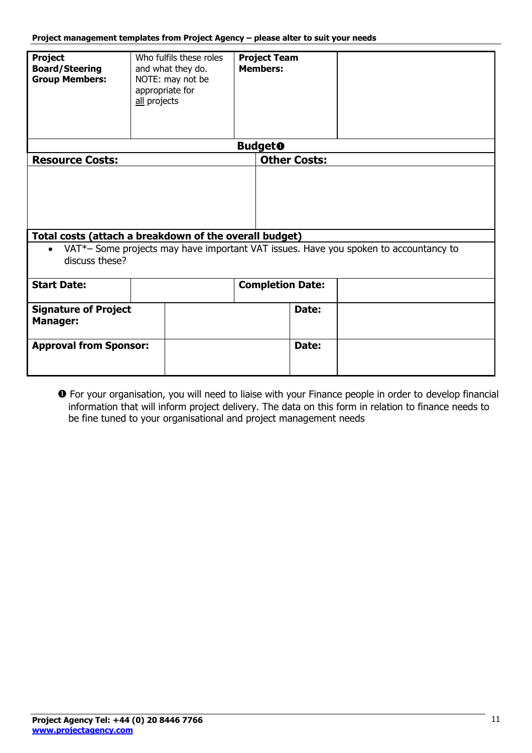| <b>Project</b><br><b>Board/Steering</b><br><b>Group Members:</b> | Who fulfils these roles<br>and what they do.<br>NOTE: may not be<br>appropriate for<br>all projects |                         | <b>Project Team</b><br><b>Members:</b> |                                                                                      |
|------------------------------------------------------------------|-----------------------------------------------------------------------------------------------------|-------------------------|----------------------------------------|--------------------------------------------------------------------------------------|
|                                                                  |                                                                                                     |                         | <b>Budget</b> <sup>O</sup>             |                                                                                      |
| <b>Resource Costs:</b>                                           |                                                                                                     |                         | <b>Other Costs:</b>                    |                                                                                      |
| $\bullet$<br>discuss these?                                      | Total costs (attach a breakdown of the overall budget)                                              |                         |                                        | VAT*- Some projects may have important VAT issues. Have you spoken to accountancy to |
| <b>Start Date:</b>                                               |                                                                                                     | <b>Completion Date:</b> |                                        |                                                                                      |
| <b>Signature of Project</b><br><b>Manager:</b>                   |                                                                                                     |                         | Date:                                  |                                                                                      |
| <b>Approval from Sponsor:</b>                                    |                                                                                                     |                         | Date:                                  |                                                                                      |

**O** For your organisation, you will need to liaise with your Finance people in order to develop financial information that will inform project delivery. The data on this form in relation to finance needs to be fine tuned to your organisational and project management needs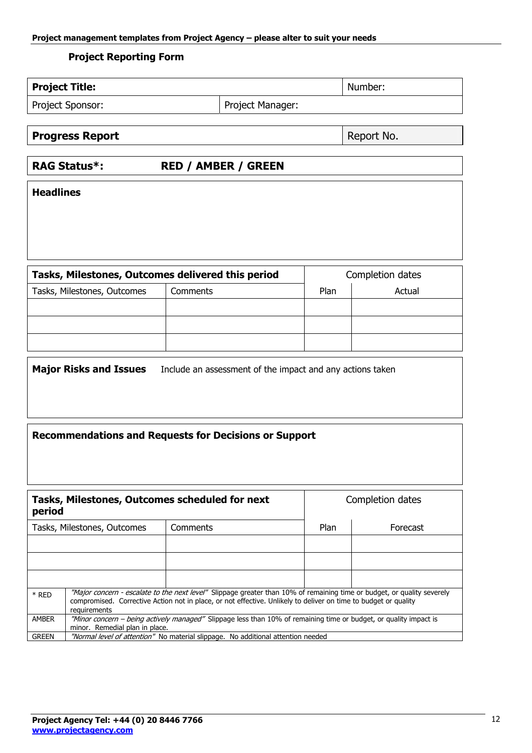#### **Project Reporting Form**

| <b>Project Title:</b>  |                            | Number:    |
|------------------------|----------------------------|------------|
| Project Sponsor:       | Project Manager:           |            |
| <b>Progress Report</b> |                            | Report No. |
| <b>RAG Status*:</b>    | <b>RED / AMBER / GREEN</b> |            |
| <b>Headlines</b>       |                            |            |

| Tasks, Milestones, Outcomes delivered this period | Completion dates |        |  |
|---------------------------------------------------|------------------|--------|--|
| Tasks, Milestones, Outcomes                       | Plan             | Actual |  |
|                                                   |                  |        |  |
|                                                   |                  |        |  |
|                                                   |                  |        |  |

**Major Risks and Issues** Include an assessment of the impact and any actions taken

#### **Recommendations and Requests for Decisions or Support**

| period       | Tasks, Milestones, Outcomes scheduled for next                                                                                                                                                                                                             | Completion dates                                                                 |      |          |  |  |
|--------------|------------------------------------------------------------------------------------------------------------------------------------------------------------------------------------------------------------------------------------------------------------|----------------------------------------------------------------------------------|------|----------|--|--|
|              | Tasks, Milestones, Outcomes                                                                                                                                                                                                                                | Comments                                                                         | Plan | Forecast |  |  |
|              |                                                                                                                                                                                                                                                            |                                                                                  |      |          |  |  |
|              |                                                                                                                                                                                                                                                            |                                                                                  |      |          |  |  |
|              |                                                                                                                                                                                                                                                            |                                                                                  |      |          |  |  |
| $*$ RED      | "Major concern - escalate to the next level" Slippage greater than 10% of remaining time or budget, or quality severely<br>compromised. Corrective Action not in place, or not effective. Unlikely to deliver on time to budget or quality<br>requirements |                                                                                  |      |          |  |  |
| <b>AMBER</b> | "Minor concern – being actively managed" Slippage less than 10% of remaining time or budget, or quality impact is<br>minor. Remedial plan in place.                                                                                                        |                                                                                  |      |          |  |  |
| <b>GREEN</b> |                                                                                                                                                                                                                                                            | "Normal level of attention" No material slippage. No additional attention needed |      |          |  |  |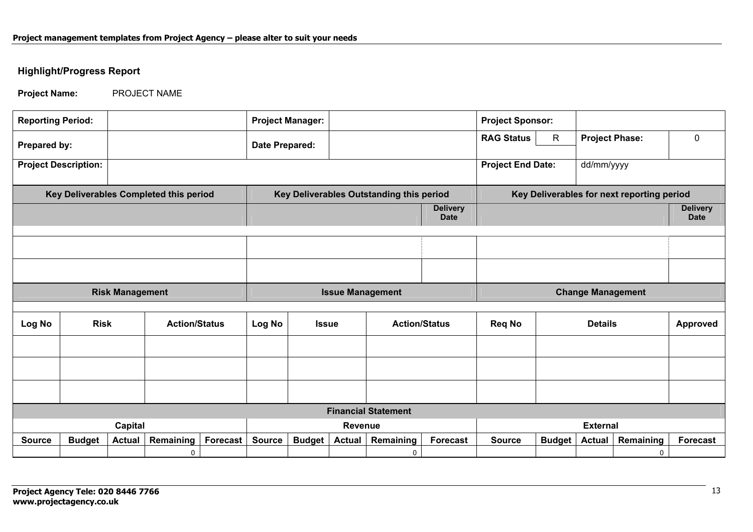#### **Highlight/Progress Report**

**Project Name:** PROJECT NAME

| <b>Reporting Period:</b> |                             |                        |                                        |  |                         | <b>Project Manager:</b>              |  |                                          |                                | <b>Project Sponsor:</b>  |  |                |                                            |                                |
|--------------------------|-----------------------------|------------------------|----------------------------------------|--|-------------------------|--------------------------------------|--|------------------------------------------|--------------------------------|--------------------------|--|----------------|--------------------------------------------|--------------------------------|
| Prepared by:             |                             |                        |                                        |  | Date Prepared:          |                                      |  | <b>RAG Status</b>                        | $\mathsf{R}$                   | <b>Project Phase:</b>    |  | $\mathbf 0$    |                                            |                                |
|                          | <b>Project Description:</b> |                        |                                        |  |                         |                                      |  |                                          |                                | <b>Project End Date:</b> |  | dd/mm/yyyy     |                                            |                                |
|                          |                             |                        | Key Deliverables Completed this period |  |                         |                                      |  | Key Deliverables Outstanding this period |                                |                          |  |                | Key Deliverables for next reporting period |                                |
|                          |                             |                        |                                        |  |                         |                                      |  |                                          | <b>Delivery</b><br><b>Date</b> |                          |  |                |                                            | <b>Delivery</b><br><b>Date</b> |
|                          |                             |                        |                                        |  |                         |                                      |  |                                          |                                |                          |  |                |                                            |                                |
|                          |                             |                        |                                        |  |                         |                                      |  |                                          |                                |                          |  |                |                                            |                                |
|                          |                             | <b>Risk Management</b> |                                        |  | <b>Issue Management</b> |                                      |  |                                          | <b>Change Management</b>       |                          |  |                |                                            |                                |
|                          |                             |                        |                                        |  |                         |                                      |  |                                          |                                |                          |  |                |                                            |                                |
| Log No                   | <b>Risk</b>                 |                        | <b>Action/Status</b>                   |  | Log No                  | <b>Action/Status</b><br><b>Issue</b> |  |                                          |                                | <b>Req No</b>            |  | <b>Details</b> |                                            | Approved                       |
|                          |                             |                        |                                        |  |                         |                                      |  |                                          |                                |                          |  |                |                                            |                                |
|                          |                             |                        |                                        |  |                         |                                      |  |                                          |                                |                          |  |                |                                            |                                |
|                          |                             |                        |                                        |  |                         |                                      |  |                                          |                                |                          |  |                |                                            |                                |
|                          |                             |                        |                                        |  |                         |                                      |  | <b>Financial Statement</b>               |                                |                          |  |                |                                            |                                |
|                          |                             | <b>Capital</b>         |                                        |  | Revenue                 |                                      |  | <b>External</b>                          |                                |                          |  |                |                                            |                                |
|                          |                             |                        |                                        |  |                         |                                      |  |                                          |                                |                          |  |                |                                            |                                |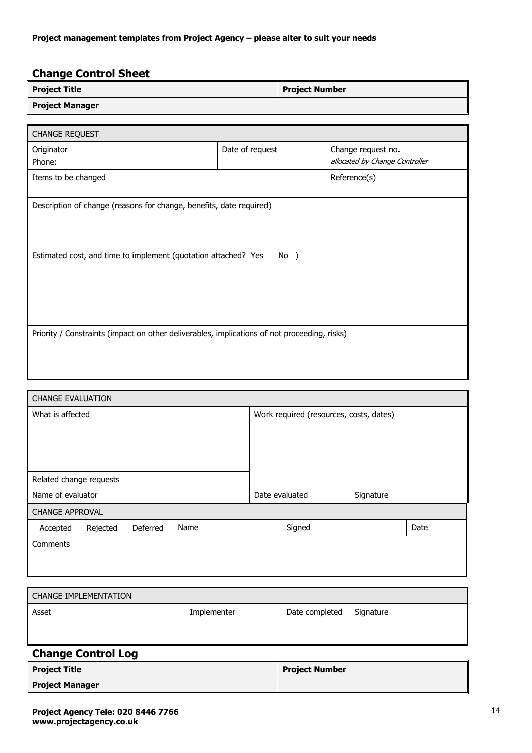### **Change Control Sheet**

| <b>Project Title</b>   | <b>Project Number</b> |
|------------------------|-----------------------|
| <b>Project Manager</b> |                       |

| <b>CHANGE REQUEST</b>                                                                                                                         |                 |                                |  |  |  |  |
|-----------------------------------------------------------------------------------------------------------------------------------------------|-----------------|--------------------------------|--|--|--|--|
| Originator                                                                                                                                    | Date of request | Change request no.             |  |  |  |  |
| Phone:                                                                                                                                        |                 | allocated by Change Controller |  |  |  |  |
| Items to be changed                                                                                                                           |                 | Reference(s)                   |  |  |  |  |
|                                                                                                                                               |                 |                                |  |  |  |  |
| Description of change (reasons for change, benefits, date required)<br>Estimated cost, and time to implement (quotation attached? Yes<br>No ) |                 |                                |  |  |  |  |
| Priority / Constraints (impact on other deliverables, implications of not proceeding, risks)                                                  |                 |                                |  |  |  |  |

|                         | <b>CHANGE EVALUATION</b> |          |      |                                         |  |  |      |
|-------------------------|--------------------------|----------|------|-----------------------------------------|--|--|------|
| What is affected        |                          |          |      | Work required (resources, costs, dates) |  |  |      |
|                         |                          |          |      |                                         |  |  |      |
|                         |                          |          |      |                                         |  |  |      |
|                         |                          |          |      |                                         |  |  |      |
| Related change requests |                          |          |      |                                         |  |  |      |
| Name of evaluator       |                          |          |      | Date evaluated<br>Signature             |  |  |      |
| <b>CHANGE APPROVAL</b>  |                          |          |      |                                         |  |  |      |
| Accepted                | Rejected                 | Deferred | Name | Signed                                  |  |  | Date |
| Comments                |                          |          |      |                                         |  |  |      |
|                         |                          |          |      |                                         |  |  |      |
|                         |                          |          |      |                                         |  |  |      |

| CHANGE IMPLEMENTATION |             |                |           |  |  |
|-----------------------|-------------|----------------|-----------|--|--|
| Asset                 | Implementer | Date completed | Signature |  |  |

### **Change Control Log**

| <b>Project Title</b>   | <b>Project Number</b> |
|------------------------|-----------------------|
| <b>Project Manager</b> |                       |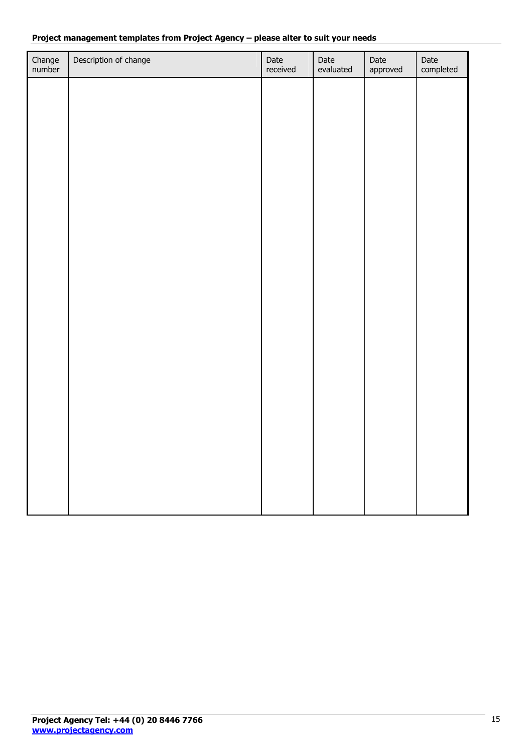#### **Project management templates from Project Agency – please alter to suit your needs**

| Change<br>number | Description of change | Date<br>received | Date<br>evaluated | Date<br>approved | Date<br>completed |
|------------------|-----------------------|------------------|-------------------|------------------|-------------------|
|                  |                       |                  |                   |                  |                   |
|                  |                       |                  |                   |                  |                   |
|                  |                       |                  |                   |                  |                   |
|                  |                       |                  |                   |                  |                   |
|                  |                       |                  |                   |                  |                   |
|                  |                       |                  |                   |                  |                   |
|                  |                       |                  |                   |                  |                   |
|                  |                       |                  |                   |                  |                   |
|                  |                       |                  |                   |                  |                   |
|                  |                       |                  |                   |                  |                   |
|                  |                       |                  |                   |                  |                   |
|                  |                       |                  |                   |                  |                   |
|                  |                       |                  |                   |                  |                   |
|                  |                       |                  |                   |                  |                   |
|                  |                       |                  |                   |                  |                   |
|                  |                       |                  |                   |                  |                   |
|                  |                       |                  |                   |                  |                   |
|                  |                       |                  |                   |                  |                   |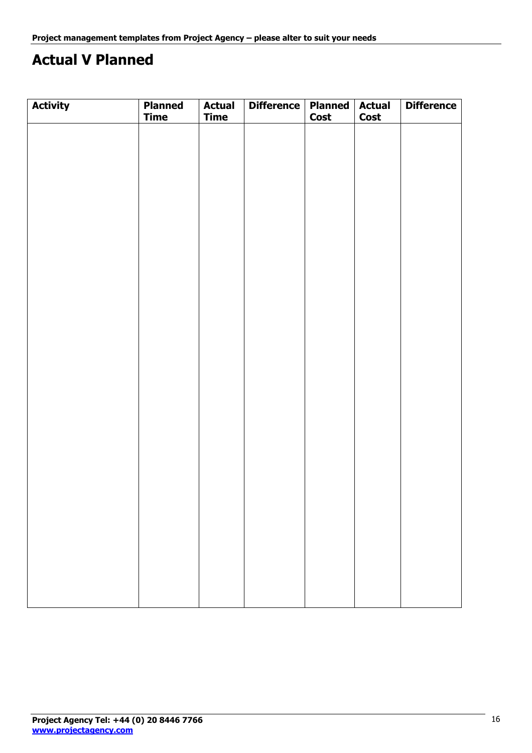# **Actual V Planned**

| <b>Activity</b> | <b>Planned</b><br><b>Time</b> | <b>Actual</b><br><b>Time</b> | Difference   Planned | <b>Cost</b> | <b>Actual</b><br><b>Cost</b> | <b>Difference</b> |
|-----------------|-------------------------------|------------------------------|----------------------|-------------|------------------------------|-------------------|
|                 |                               |                              |                      |             |                              |                   |
|                 |                               |                              |                      |             |                              |                   |
|                 |                               |                              |                      |             |                              |                   |
|                 |                               |                              |                      |             |                              |                   |
|                 |                               |                              |                      |             |                              |                   |
|                 |                               |                              |                      |             |                              |                   |
|                 |                               |                              |                      |             |                              |                   |
|                 |                               |                              |                      |             |                              |                   |
|                 |                               |                              |                      |             |                              |                   |
|                 |                               |                              |                      |             |                              |                   |
|                 |                               |                              |                      |             |                              |                   |
|                 |                               |                              |                      |             |                              |                   |
|                 |                               |                              |                      |             |                              |                   |
|                 |                               |                              |                      |             |                              |                   |
|                 |                               |                              |                      |             |                              |                   |
|                 |                               |                              |                      |             |                              |                   |
|                 |                               |                              |                      |             |                              |                   |
|                 |                               |                              |                      |             |                              |                   |
|                 |                               |                              |                      |             |                              |                   |
|                 |                               |                              |                      |             |                              |                   |
|                 |                               |                              |                      |             |                              |                   |
|                 |                               |                              |                      |             |                              |                   |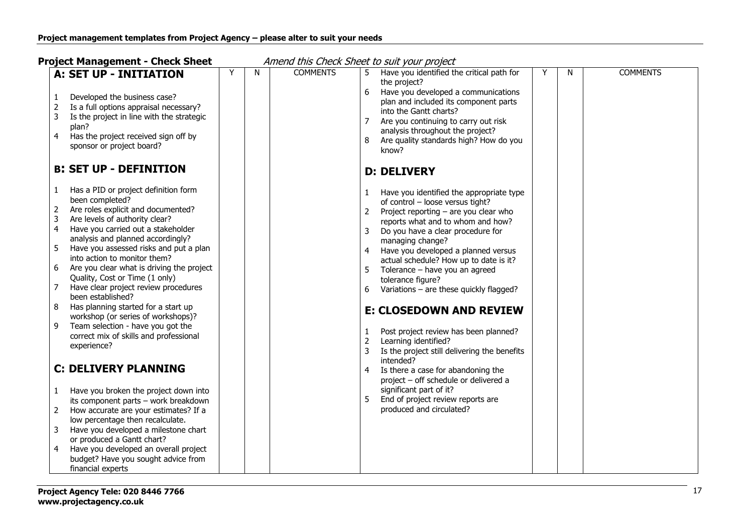**Project Management - Check Sheet** Amend this Check Sheet to suit your project

| A: SET UP - INITIATION                                                                                                                                                                                                                                                                                                                                                                                                                                                                                                                                                                                                                                                                                                                                                                                                                                                                                                                                                                                                                                                                  | N | <b>COMMENTS</b> | <b>COMMENTS</b><br>Have you identified the critical path for<br>Y<br>N                                                                                                                                                                                                                                                                                                                                                                                                                                                                                                                                                                                                                                                                                                                                                           |
|-----------------------------------------------------------------------------------------------------------------------------------------------------------------------------------------------------------------------------------------------------------------------------------------------------------------------------------------------------------------------------------------------------------------------------------------------------------------------------------------------------------------------------------------------------------------------------------------------------------------------------------------------------------------------------------------------------------------------------------------------------------------------------------------------------------------------------------------------------------------------------------------------------------------------------------------------------------------------------------------------------------------------------------------------------------------------------------------|---|-----------------|----------------------------------------------------------------------------------------------------------------------------------------------------------------------------------------------------------------------------------------------------------------------------------------------------------------------------------------------------------------------------------------------------------------------------------------------------------------------------------------------------------------------------------------------------------------------------------------------------------------------------------------------------------------------------------------------------------------------------------------------------------------------------------------------------------------------------------|
| Developed the business case?<br>Is a full options appraisal necessary?<br>2<br>3<br>Is the project in line with the strategic<br>plan?<br>Has the project received sign off by<br>4<br>sponsor or project board?                                                                                                                                                                                                                                                                                                                                                                                                                                                                                                                                                                                                                                                                                                                                                                                                                                                                        |   |                 | the project?<br>6<br>Have you developed a communications<br>plan and included its component parts<br>into the Gantt charts?<br>Are you continuing to carry out risk<br>7<br>analysis throughout the project?<br>8<br>Are quality standards high? How do you<br>know?                                                                                                                                                                                                                                                                                                                                                                                                                                                                                                                                                             |
| <b>B: SET UP - DEFINITION</b>                                                                                                                                                                                                                                                                                                                                                                                                                                                                                                                                                                                                                                                                                                                                                                                                                                                                                                                                                                                                                                                           |   |                 | <b>D: DELIVERY</b>                                                                                                                                                                                                                                                                                                                                                                                                                                                                                                                                                                                                                                                                                                                                                                                                               |
| Has a PID or project definition form<br>1<br>been completed?<br>Are roles explicit and documented?<br>2<br>$\mathbf{3}$<br>Are levels of authority clear?<br>4<br>Have you carried out a stakeholder<br>analysis and planned accordingly?<br>5<br>Have you assessed risks and put a plan<br>into action to monitor them?<br>Are you clear what is driving the project<br>6<br>Quality, Cost or Time (1 only)<br>Have clear project review procedures<br>7<br>been established?<br>Has planning started for a start up<br>8<br>workshop (or series of workshops)?<br>Team selection - have you got the<br>9<br>correct mix of skills and professional<br>experience?<br><b>C: DELIVERY PLANNING</b><br>Have you broken the project down into<br>$\mathbf{1}$<br>its component parts - work breakdown<br>How accurate are your estimates? If a<br>2<br>low percentage then recalculate.<br>Have you developed a milestone chart<br>3<br>or produced a Gantt chart?<br>Have you developed an overall project<br>$\overline{4}$<br>budget? Have you sought advice from<br>financial experts |   |                 | Have you identified the appropriate type<br>$\mathbf{1}$<br>of control - loose versus tight?<br>Project reporting - are you clear who<br>2<br>reports what and to whom and how?<br>3<br>Do you have a clear procedure for<br>managing change?<br>Have you developed a planned versus<br>4<br>actual schedule? How up to date is it?<br>5<br>Tolerance - have you an agreed<br>tolerance figure?<br>Variations - are these quickly flagged?<br>6<br><b>E: CLOSEDOWN AND REVIEW</b><br>Post project review has been planned?<br>1<br>$\overline{2}$<br>Learning identified?<br>3<br>Is the project still delivering the benefits<br>intended?<br>4<br>Is there a case for abandoning the<br>project - off schedule or delivered a<br>significant part of it?<br>5<br>End of project review reports are<br>produced and circulated? |